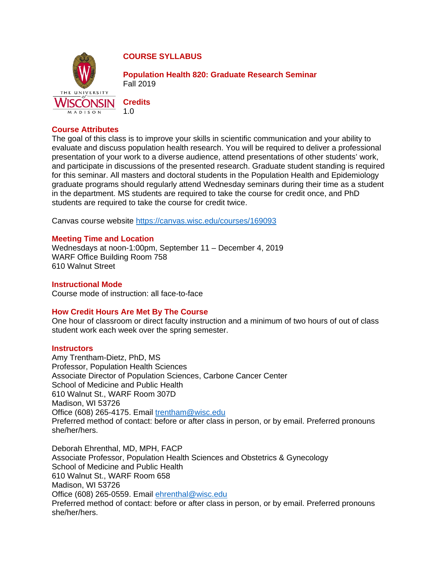

**COURSE SYLLABUS** 

**Population Health 820: Graduate Research Seminar** Fall 2019

**Credits** 1.0

## **Course Attributes**

The goal of this class is to improve your skills in scientific communication and your ability to evaluate and discuss population health research. You will be required to deliver a professional presentation of your work to a diverse audience, attend presentations of other students' work, and participate in discussions of the presented research. Graduate student standing is required for this seminar. All masters and doctoral students in the Population Health and Epidemiology graduate programs should regularly attend Wednesday seminars during their time as a student in the department. MS students are required to take the course for credit once, and PhD students are required to take the course for credit twice.

Canvas course website<https://canvas.wisc.edu/courses/169093>

# **Meeting Time and Location**

Wednesdays at noon-1:00pm, September 11 – December 4, 2019 WARF Office Building Room 758 610 Walnut Street

### **Instructional Mode**

Course mode of instruction: all face-to-face

### **How Credit Hours Are Met By The Course**

One hour of classroom or direct faculty instruction and a minimum of two hours of out of class student work each week over the spring semester.

### **Instructors**

Amy Trentham-Dietz, PhD, MS Professor, Population Health Sciences Associate Director of Population Sciences, Carbone Cancer Center School of Medicine and Public Health 610 Walnut St., WARF Room 307D Madison, WI 53726 Office (608) 265-4175. Email [trentham@wisc.edu](mailto:trentham@wisc.edu) Preferred method of contact: before or after class in person, or by email. Preferred pronouns she/her/hers.

Deborah Ehrenthal, MD, MPH, FACP Associate Professor, Population Health Sciences and Obstetrics & Gynecology School of Medicine and Public Health 610 Walnut St., WARF Room 658 Madison, WI 53726 Office (608) 265-0559. Email [ehrenthal@wisc.edu](mailto:ehrenthal@wisc.edu) Preferred method of contact: before or after class in person, or by email. Preferred pronouns she/her/hers.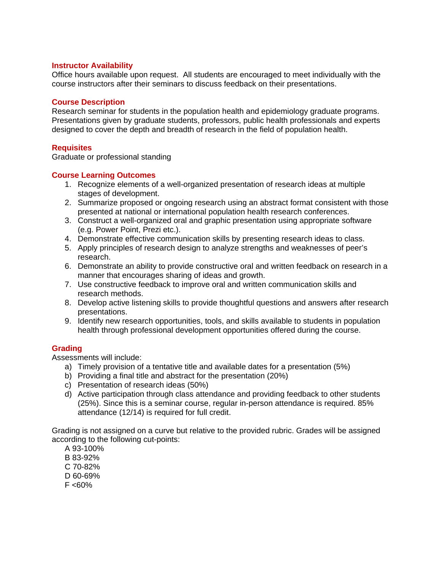### **Instructor Availability**

Office hours available upon request. All students are encouraged to meet individually with the course instructors after their seminars to discuss feedback on their presentations.

### **Course Description**

Research seminar for students in the population health and epidemiology graduate programs. Presentations given by graduate students, professors, public health professionals and experts designed to cover the depth and breadth of research in the field of population health.

### **Requisites**

Graduate or professional standing

### **Course Learning Outcomes**

- 1. Recognize elements of a well-organized presentation of research ideas at multiple stages of development.
- 2. Summarize proposed or ongoing research using an abstract format consistent with those presented at national or international population health research conferences.
- 3. Construct a well-organized oral and graphic presentation using appropriate software (e.g. Power Point, Prezi etc.).
- 4. Demonstrate effective communication skills by presenting research ideas to class.
- 5. Apply principles of research design to analyze strengths and weaknesses of peer's research.
- 6. Demonstrate an ability to provide constructive oral and written feedback on research in a manner that encourages sharing of ideas and growth.
- 7. Use constructive feedback to improve oral and written communication skills and research methods.
- 8. Develop active listening skills to provide thoughtful questions and answers after research presentations.
- 9. Identify new research opportunities, tools, and skills available to students in population health through professional development opportunities offered during the course.

#### **Grading**

Assessments will include:

- a) Timely provision of a tentative title and available dates for a presentation (5%)
- b) Providing a final title and abstract for the presentation (20%)
- c) Presentation of research ideas (50%)
- d) Active participation through class attendance and providing feedback to other students (25%). Since this is a seminar course, regular in-person attendance is required. 85% attendance (12/14) is required for full credit.

Grading is not assigned on a curve but relative to the provided rubric. Grades will be assigned according to the following cut-points:

A 93-100% B 83-92% C 70-82% D 60-69%  $F < 60%$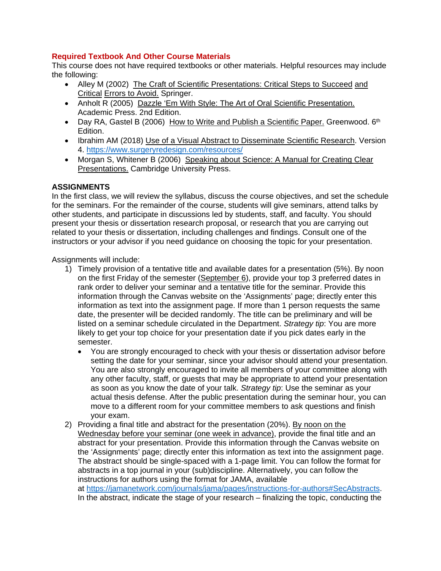## **Required Textbook And Other Course Materials**

This course does not have required textbooks or other materials. Helpful resources may include the following:

- Alley M (2002) The Craft of Scientific Presentations: Critical Steps to Succeed and Critical Errors to Avoid. Springer.
- Anholt R (2005) Dazzle 'Em With Style: The Art of Oral Scientific Presentation. Academic Press. 2nd Edition.
- Day RA, Gastel B (2006) How to Write and Publish a Scientific Paper. Greenwood.  $6<sup>th</sup>$ Edition.
- Ibrahim AM (2018) Use of a Visual Abstract to Disseminate Scientific Research. Version 4.<https://www.surgeryredesign.com/resources/>
- Morgan S, Whitener B (2006) Speaking about Science: A Manual for Creating Clear Presentations. Cambridge University Press.

# **ASSIGNMENTS**

In the first class, we will review the syllabus, discuss the course objectives, and set the schedule for the seminars. For the remainder of the course, students will give seminars, attend talks by other students, and participate in discussions led by students, staff, and faculty. You should present your thesis or dissertation research proposal, or research that you are carrying out related to your thesis or dissertation, including challenges and findings. Consult one of the instructors or your advisor if you need guidance on choosing the topic for your presentation.

Assignments will include:

- 1) Timely provision of a tentative title and available dates for a presentation (5%). By noon on the first Friday of the semester (September 6), provide your top 3 preferred dates in rank order to deliver your seminar and a tentative title for the seminar. Provide this information through the Canvas website on the 'Assignments' page; directly enter this information as text into the assignment page. If more than 1 person requests the same date, the presenter will be decided randomly. The title can be preliminary and will be listed on a seminar schedule circulated in the Department. *Strategy tip*: You are more likely to get your top choice for your presentation date if you pick dates early in the semester.
	- You are strongly encouraged to check with your thesis or dissertation advisor before setting the date for your seminar, since your advisor should attend your presentation. You are also strongly encouraged to invite all members of your committee along with any other faculty, staff, or guests that may be appropriate to attend your presentation as soon as you know the date of your talk. *Strategy tip*: Use the seminar as your actual thesis defense. After the public presentation during the seminar hour, you can move to a different room for your committee members to ask questions and finish your exam.
- 2) Providing a final title and abstract for the presentation (20%). By noon on the Wednesday before your seminar (one week in advance), provide the final title and an abstract for your presentation. Provide this information through the Canvas website on the 'Assignments' page; directly enter this information as text into the assignment page. The abstract should be single-spaced with a 1-page limit. You can follow the format for abstracts in a top journal in your (sub)discipline. Alternatively, you can follow the instructions for authors using the format for JAMA, available at https://jamanetwork.com/journals/jama/pages/instructions-for-authors#SecAbstracts. In the abstract, indicate the stage of your research – finalizing the topic, conducting the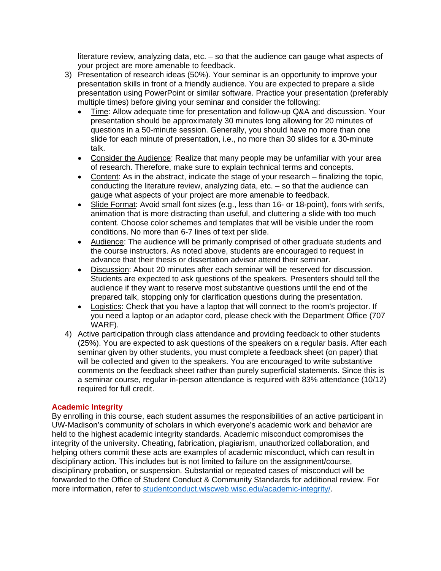literature review, analyzing data, etc. – so that the audience can gauge what aspects of your project are more amenable to feedback.

- 3) Presentation of research ideas (50%). Your seminar is an opportunity to improve your presentation skills in front of a friendly audience. You are expected to prepare a slide presentation using PowerPoint or similar software. Practice your presentation (preferably multiple times) before giving your seminar and consider the following:
	- Time: Allow adequate time for presentation and follow-up Q&A and discussion. Your presentation should be approximately 30 minutes long allowing for 20 minutes of questions in a 50-minute session. Generally, you should have no more than one slide for each minute of presentation, i.e., no more than 30 slides for a 30-minute talk.
	- Consider the Audience: Realize that many people may be unfamiliar with your area of research. Therefore, make sure to explain technical terms and concepts.
	- Content: As in the abstract, indicate the stage of your research finalizing the topic, conducting the literature review, analyzing data, etc. – so that the audience can gauge what aspects of your project are more amenable to feedback.
	- Slide Format: Avoid small font sizes (e.g., less than 16- or 18-point), fonts with serifs, animation that is more distracting than useful, and cluttering a slide with too much content. Choose color schemes and templates that will be visible under the room conditions. No more than 6-7 lines of text per slide.
	- Audience: The audience will be primarily comprised of other graduate students and the course instructors. As noted above, students are encouraged to request in advance that their thesis or dissertation advisor attend their seminar.
	- Discussion: About 20 minutes after each seminar will be reserved for discussion. Students are expected to ask questions of the speakers. Presenters should tell the audience if they want to reserve most substantive questions until the end of the prepared talk, stopping only for clarification questions during the presentation.
	- Logistics: Check that you have a laptop that will connect to the room's projector. If you need a laptop or an adaptor cord, please check with the Department Office (707 WARF).
- 4) Active participation through class attendance and providing feedback to other students (25%). You are expected to ask questions of the speakers on a regular basis. After each seminar given by other students, you must complete a feedback sheet (on paper) that will be collected and given to the speakers. You are encouraged to write substantive comments on the feedback sheet rather than purely superficial statements. Since this is a seminar course, regular in-person attendance is required with 83% attendance (10/12) required for full credit.

### **Academic Integrity**

By enrolling in this course, each student assumes the responsibilities of an active participant in UW-Madison's community of scholars in which everyone's academic work and behavior are held to the highest academic integrity standards. Academic misconduct compromises the integrity of the university. Cheating, fabrication, plagiarism, unauthorized collaboration, and helping others commit these acts are examples of academic misconduct, which can result in disciplinary action. This includes but is not limited to failure on the assignment/course, disciplinary probation, or suspension. Substantial or repeated cases of misconduct will be forwarded to the Office of Student Conduct & Community Standards for additional review. For more information, refer to studentconduct.wiscweb.wisc.edu/academic-integrity/.